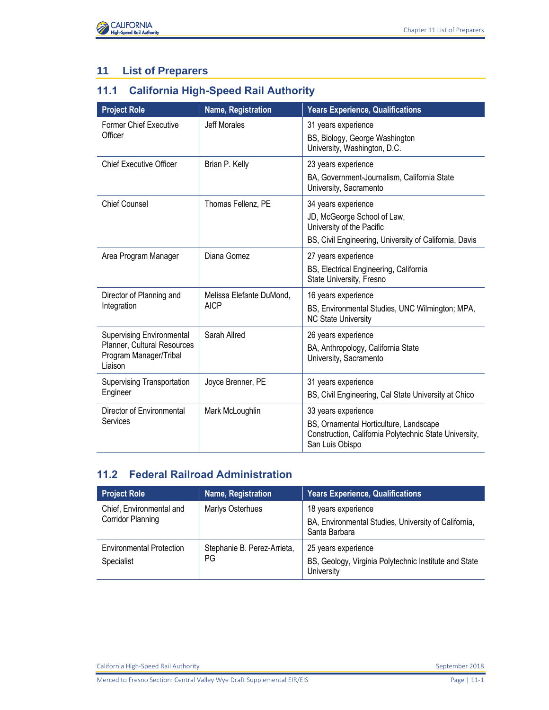

## **11 List of Preparers**

## **11.1 California High-Speed Rail Authority**

| <b>Project Role</b>                                                                                  | Name, Registration                      | <b>Years Experience, Qualifications</b>                                                                                                    |
|------------------------------------------------------------------------------------------------------|-----------------------------------------|--------------------------------------------------------------------------------------------------------------------------------------------|
| <b>Former Chief Executive</b><br>Officer                                                             | <b>Jeff Morales</b>                     | 31 years experience<br>BS, Biology, George Washington<br>University, Washington, D.C.                                                      |
| <b>Chief Executive Officer</b>                                                                       | Brian P. Kelly                          | 23 years experience                                                                                                                        |
|                                                                                                      |                                         | BA, Government-Journalism, California State<br>University, Sacramento                                                                      |
| <b>Chief Counsel</b>                                                                                 | Thomas Fellenz, PE                      | 34 years experience<br>JD, McGeorge School of Law,<br>University of the Pacific<br>BS, Civil Engineering, University of California, Davis  |
| Area Program Manager                                                                                 | Diana Gomez                             | 27 years experience<br>BS, Electrical Engineering, California<br>State University, Fresno                                                  |
| Director of Planning and<br>Integration                                                              | Melissa Elefante DuMond,<br><b>AICP</b> | 16 years experience<br>BS, Environmental Studies, UNC Wilmington; MPA,<br><b>NC State University</b>                                       |
| <b>Supervising Environmental</b><br>Planner, Cultural Resources<br>Program Manager/Tribal<br>Liaison | Sarah Allred                            | 26 years experience<br>BA, Anthropology, California State<br>University, Sacramento                                                        |
| Supervising Transportation<br>Engineer                                                               | Joyce Brenner, PE                       | 31 years experience<br>BS, Civil Engineering, Cal State University at Chico                                                                |
| Director of Environmental<br>Services                                                                | Mark McLoughlin                         | 33 years experience<br>BS, Ornamental Horticulture, Landscape<br>Construction, California Polytechnic State University,<br>San Luis Obispo |

## **11.2 Federal Railroad Administration**

| <b>Project Role</b>                           | Name, Registration                | <b>Years Experience, Qualifications</b>                                                      |
|-----------------------------------------------|-----------------------------------|----------------------------------------------------------------------------------------------|
| Chief, Environmental and<br>Corridor Planning | Marlys Osterhues                  | 18 years experience<br>BA, Environmental Studies, University of California,<br>Santa Barbara |
| <b>Environmental Protection</b><br>Specialist | Stephanie B. Perez-Arrieta,<br>PG | 25 years experience<br>BS, Geology, Virginia Polytechnic Institute and State<br>University   |

California High-Speed Rail Authority September 2018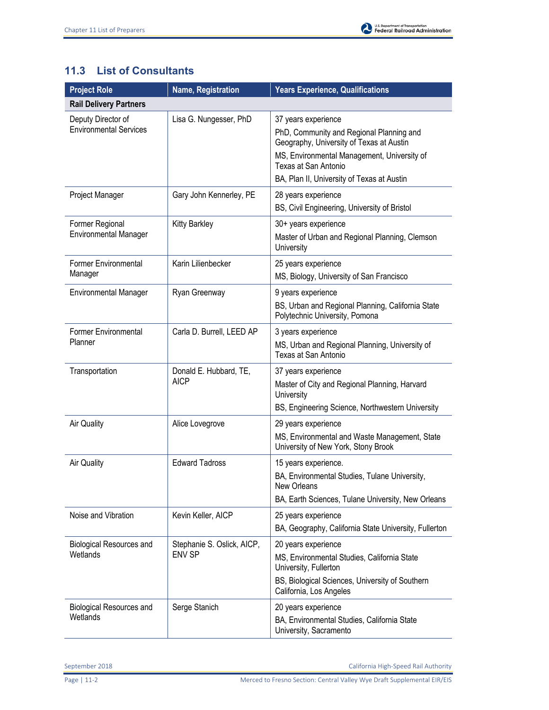## **11.3 List of Consultants**

| <b>Project Role</b>                                 | Name, Registration                          | <b>Years Experience, Qualifications</b>                                                                                                                                                                                          |
|-----------------------------------------------------|---------------------------------------------|----------------------------------------------------------------------------------------------------------------------------------------------------------------------------------------------------------------------------------|
| <b>Rail Delivery Partners</b>                       |                                             |                                                                                                                                                                                                                                  |
| Deputy Director of<br><b>Environmental Services</b> | Lisa G. Nungesser, PhD                      | 37 years experience<br>PhD, Community and Regional Planning and<br>Geography, University of Texas at Austin<br>MS, Environmental Management, University of<br>Texas at San Antonio<br>BA, Plan II, University of Texas at Austin |
| Project Manager                                     | Gary John Kennerley, PE                     | 28 years experience<br>BS, Civil Engineering, University of Bristol                                                                                                                                                              |
| Former Regional<br><b>Environmental Manager</b>     | <b>Kitty Barkley</b>                        | 30+ years experience<br>Master of Urban and Regional Planning, Clemson<br>University                                                                                                                                             |
| <b>Former Environmental</b><br>Manager              | Karin Lilienbecker                          | 25 years experience<br>MS, Biology, University of San Francisco                                                                                                                                                                  |
| <b>Environmental Manager</b>                        | Ryan Greenway                               | 9 years experience<br>BS, Urban and Regional Planning, California State<br>Polytechnic University, Pomona                                                                                                                        |
| <b>Former Environmental</b><br>Planner              | Carla D. Burrell, LEED AP                   | 3 years experience<br>MS, Urban and Regional Planning, University of<br>Texas at San Antonio                                                                                                                                     |
| Transportation                                      | Donald E. Hubbard, TE,<br><b>AICP</b>       | 37 years experience<br>Master of City and Regional Planning, Harvard<br>University<br>BS, Engineering Science, Northwestern University                                                                                           |
| <b>Air Quality</b>                                  | Alice Lovegrove                             | 29 years experience<br>MS, Environmental and Waste Management, State<br>University of New York, Stony Brook                                                                                                                      |
| Air Quality                                         | <b>Edward Tadross</b>                       | 15 years experience.<br>BA, Environmental Studies, Tulane University,<br>New Orleans<br>BA, Earth Sciences, Tulane University, New Orleans                                                                                       |
| Noise and Vibration                                 | Kevin Keller, AICP                          | 25 years experience<br>BA, Geography, California State University, Fullerton                                                                                                                                                     |
| <b>Biological Resources and</b><br>Wetlands         | Stephanie S. Oslick, AICP,<br><b>ENV SP</b> | 20 years experience<br>MS, Environmental Studies, California State<br>University, Fullerton<br>BS, Biological Sciences, University of Southern<br>California, Los Angeles                                                        |
| <b>Biological Resources and</b><br>Wetlands         | Serge Stanich                               | 20 years experience<br>BA, Environmental Studies, California State<br>University, Sacramento                                                                                                                                     |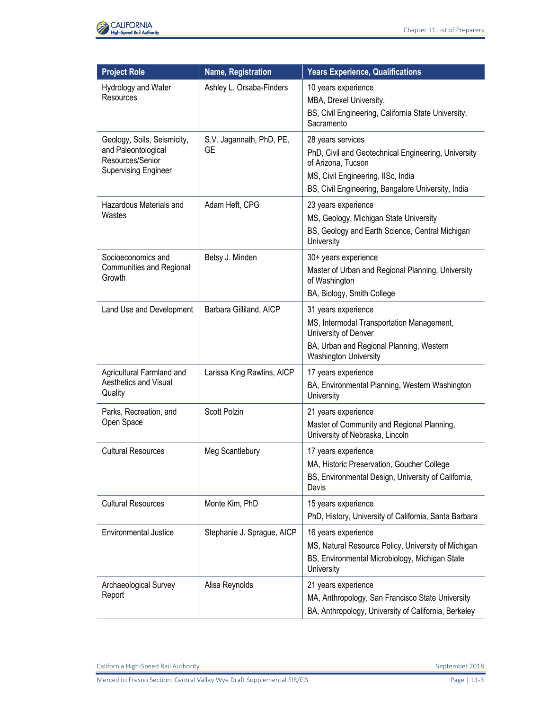

| <b>Project Role</b>                                                                                   | Name, Registration                    | <b>Years Experience, Qualifications</b>                                                                                                                                                    |
|-------------------------------------------------------------------------------------------------------|---------------------------------------|--------------------------------------------------------------------------------------------------------------------------------------------------------------------------------------------|
| Hydrology and Water<br>Resources                                                                      | Ashley L. Orsaba-Finders              | 10 years experience<br>MBA, Drexel University,<br>BS, Civil Engineering, California State University,<br>Sacramento                                                                        |
| Geology, Soils, Seismicity,<br>and Paleontological<br>Resources/Senior<br><b>Supervising Engineer</b> | S.V. Jagannath, PhD, PE,<br><b>GE</b> | 28 years services<br>PhD, Civil and Geotechnical Engineering, University<br>of Arizona, Tucson<br>MS, Civil Engineering, IISc, India<br>BS, Civil Engineering, Bangalore University, India |
| Hazardous Materials and<br>Wastes                                                                     | Adam Heft, CPG                        | 23 years experience<br>MS, Geology, Michigan State University<br>BS, Geology and Earth Science, Central Michigan<br>University                                                             |
| Socioeconomics and<br>Communities and Regional<br>Growth                                              | Betsy J. Minden                       | 30+ years experience<br>Master of Urban and Regional Planning, University<br>of Washington<br>BA, Biology, Smith College                                                                   |
| Land Use and Development                                                                              | Barbara Gilliland, AICP               | 31 years experience<br>MS, Intermodal Transportation Management,<br>University of Denver<br>BA, Urban and Regional Planning, Western<br><b>Washington University</b>                       |
| Agricultural Farmland and<br>Aesthetics and Visual<br>Quality                                         | Larissa King Rawlins, AICP            | 17 years experience<br>BA, Environmental Planning, Western Washington<br>University                                                                                                        |
| Parks, Recreation, and<br>Open Space                                                                  | Scott Polzin                          | 21 years experience<br>Master of Community and Regional Planning,<br>University of Nebraska, Lincoln                                                                                       |
| <b>Cultural Resources</b>                                                                             | Meg Scantlebury                       | 17 years experience<br>MA, Historic Preservation, Goucher College<br>BS, Environmental Design, University of California,<br>Davis                                                          |
| <b>Cultural Resources</b>                                                                             | Monte Kim, PhD                        | 15 years experience<br>PhD, History, University of California, Santa Barbara                                                                                                               |
| <b>Environmental Justice</b>                                                                          | Stephanie J. Sprague, AICP            | 16 years experience<br>MS, Natural Resource Policy, University of Michigan<br>BS, Environmental Microbiology, Michigan State<br>University                                                 |
| Archaeological Survey<br>Report                                                                       | Alisa Reynolds                        | 21 years experience<br>MA, Anthropology, San Francisco State University<br>BA, Anthropology, University of California, Berkeley                                                            |

California High-Speed Rail Authority **September 2018** September 2018

Merced to Fresno Section: Central Valley Wye Draft Supplemental EIR/EIS Page 11-3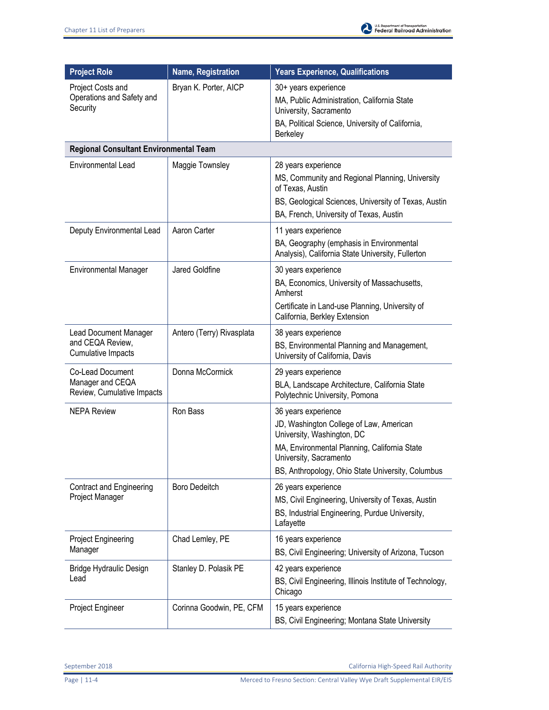| <b>Project Role</b>                                                    | Name, Registration        | <b>Years Experience, Qualifications</b>                                                                                                                                                                                     |
|------------------------------------------------------------------------|---------------------------|-----------------------------------------------------------------------------------------------------------------------------------------------------------------------------------------------------------------------------|
| Project Costs and<br>Operations and Safety and<br>Security             | Bryan K. Porter, AICP     | 30+ years experience<br>MA, Public Administration, California State<br>University, Sacramento<br>BA, Political Science, University of California,<br>Berkeley                                                               |
| <b>Regional Consultant Environmental Team</b>                          |                           |                                                                                                                                                                                                                             |
| <b>Environmental Lead</b>                                              | Maggie Townsley           | 28 years experience<br>MS, Community and Regional Planning, University<br>of Texas, Austin<br>BS, Geological Sciences, University of Texas, Austin<br>BA, French, University of Texas, Austin                               |
| Deputy Environmental Lead                                              | Aaron Carter              | 11 years experience<br>BA, Geography (emphasis in Environmental<br>Analysis), California State University, Fullerton                                                                                                        |
| <b>Environmental Manager</b>                                           | Jared Goldfine            | 30 years experience<br>BA, Economics, University of Massachusetts,<br>Amherst<br>Certificate in Land-use Planning, University of<br>California, Berkley Extension                                                           |
| <b>Lead Document Manager</b><br>and CEQA Review,<br>Cumulative Impacts | Antero (Terry) Rivasplata | 38 years experience<br>BS, Environmental Planning and Management,<br>University of California, Davis                                                                                                                        |
| Co-Lead Document<br>Manager and CEQA<br>Review, Cumulative Impacts     | Donna McCormick           | 29 years experience<br>BLA, Landscape Architecture, California State<br>Polytechnic University, Pomona                                                                                                                      |
| <b>NEPA Review</b>                                                     | Ron Bass                  | 36 years experience<br>JD, Washington College of Law, American<br>University, Washington, DC<br>MA, Environmental Planning, California State<br>University, Sacramento<br>BS, Anthropology, Ohio State University, Columbus |
| <b>Contract and Engineering</b><br>Project Manager                     | <b>Boro Dedeitch</b>      | 26 years experience<br>MS, Civil Engineering, University of Texas, Austin<br>BS, Industrial Engineering, Purdue University,<br>Lafayette                                                                                    |
| Project Engineering<br>Manager                                         | Chad Lemley, PE           | 16 years experience<br>BS, Civil Engineering; University of Arizona, Tucson                                                                                                                                                 |
| Bridge Hydraulic Design<br>Lead                                        | Stanley D. Polasik PE     | 42 years experience<br>BS, Civil Engineering, Illinois Institute of Technology,<br>Chicago                                                                                                                                  |
| Project Engineer                                                       | Corinna Goodwin, PE, CFM  | 15 years experience<br>BS, Civil Engineering; Montana State University                                                                                                                                                      |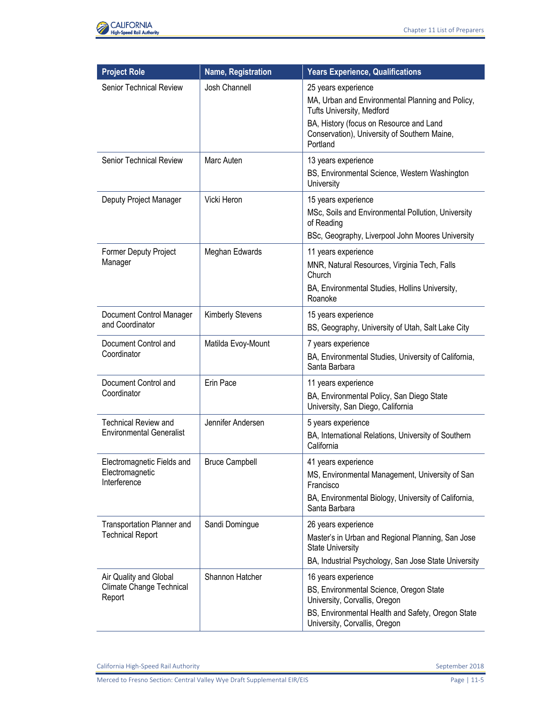

| <b>Project Role</b>                                            | <b>Name, Registration</b> | <b>Years Experience, Qualifications</b>                                                                                                                                                                     |
|----------------------------------------------------------------|---------------------------|-------------------------------------------------------------------------------------------------------------------------------------------------------------------------------------------------------------|
| Senior Technical Review                                        | <b>Josh Channell</b>      | 25 years experience<br>MA, Urban and Environmental Planning and Policy,<br>Tufts University, Medford<br>BA, History (focus on Resource and Land<br>Conservation), University of Southern Maine,<br>Portland |
| <b>Senior Technical Review</b>                                 | Marc Auten                | 13 years experience<br>BS, Environmental Science, Western Washington<br>University                                                                                                                          |
| Deputy Project Manager                                         | Vicki Heron               | 15 years experience<br>MSc, Soils and Environmental Pollution, University<br>of Reading<br>BSc, Geography, Liverpool John Moores University                                                                 |
| Former Deputy Project<br>Manager                               | Meghan Edwards            | 11 years experience<br>MNR, Natural Resources, Virginia Tech, Falls<br>Church<br>BA, Environmental Studies, Hollins University,<br>Roanoke                                                                  |
| Document Control Manager<br>and Coordinator                    | <b>Kimberly Stevens</b>   | 15 years experience<br>BS, Geography, University of Utah, Salt Lake City                                                                                                                                    |
| Document Control and<br>Coordinator                            | Matilda Evoy-Mount        | 7 years experience<br>BA, Environmental Studies, University of California,<br>Santa Barbara                                                                                                                 |
| Document Control and<br>Coordinator                            | Erin Pace                 | 11 years experience<br>BA, Environmental Policy, San Diego State<br>University, San Diego, California                                                                                                       |
| <b>Technical Review and</b><br><b>Environmental Generalist</b> | Jennifer Andersen         | 5 years experience<br>BA, International Relations, University of Southern<br>California                                                                                                                     |
| Electromagnetic Fields and<br>Electromagnetic<br>Interference  | <b>Bruce Campbell</b>     | 41 years experience<br>MS, Environmental Management, University of San<br>Francisco<br>BA, Environmental Biology, University of California,<br>Santa Barbara                                                |
| Transportation Planner and<br><b>Technical Report</b>          | Sandi Domingue            | 26 years experience<br>Master's in Urban and Regional Planning, San Jose<br><b>State University</b><br>BA, Industrial Psychology, San Jose State University                                                 |
| Air Quality and Global<br>Climate Change Technical<br>Report   | Shannon Hatcher           | 16 years experience<br>BS, Environmental Science, Oregon State<br>University, Corvallis, Oregon<br>BS, Environmental Health and Safety, Oregon State<br>University, Corvallis, Oregon                       |

California High-Speed Rail Authority **September 2018** September 2018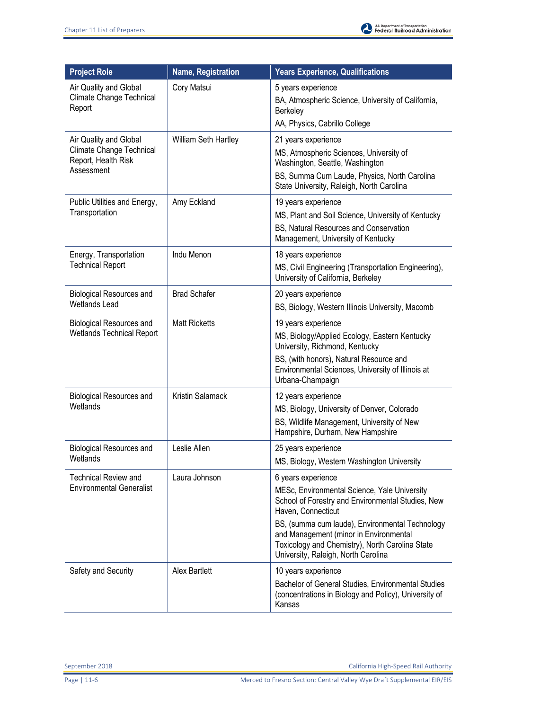

| <b>Project Role</b>                                                                     | Name, Registration   | <b>Years Experience, Qualifications</b>                                                                                                                                                                                                                                                                                              |
|-----------------------------------------------------------------------------------------|----------------------|--------------------------------------------------------------------------------------------------------------------------------------------------------------------------------------------------------------------------------------------------------------------------------------------------------------------------------------|
| Air Quality and Global<br>Climate Change Technical<br>Report                            | Cory Matsui          | 5 years experience<br>BA, Atmospheric Science, University of California,<br>Berkeley<br>AA, Physics, Cabrillo College                                                                                                                                                                                                                |
| Air Quality and Global<br>Climate Change Technical<br>Report, Health Risk<br>Assessment | William Seth Hartley | 21 years experience<br>MS, Atmospheric Sciences, University of<br>Washington, Seattle, Washington<br>BS, Summa Cum Laude, Physics, North Carolina<br>State University, Raleigh, North Carolina                                                                                                                                       |
| Public Utilities and Energy,<br>Transportation                                          | Amy Eckland          | 19 years experience<br>MS, Plant and Soil Science, University of Kentucky<br>BS, Natural Resources and Conservation<br>Management, University of Kentucky                                                                                                                                                                            |
| Energy, Transportation<br><b>Technical Report</b>                                       | Indu Menon           | 18 years experience<br>MS, Civil Engineering (Transportation Engineering),<br>University of California, Berkeley                                                                                                                                                                                                                     |
| <b>Biological Resources and</b><br><b>Wetlands Lead</b>                                 | <b>Brad Schafer</b>  | 20 years experience<br>BS, Biology, Western Illinois University, Macomb                                                                                                                                                                                                                                                              |
| <b>Biological Resources and</b><br><b>Wetlands Technical Report</b>                     | <b>Matt Ricketts</b> | 19 years experience<br>MS, Biology/Applied Ecology, Eastern Kentucky<br>University, Richmond, Kentucky<br>BS, (with honors), Natural Resource and<br>Environmental Sciences, University of Illinois at<br>Urbana-Champaign                                                                                                           |
| <b>Biological Resources and</b><br>Wetlands                                             | Kristin Salamack     | 12 years experience<br>MS, Biology, University of Denver, Colorado<br>BS, Wildlife Management, University of New<br>Hampshire, Durham, New Hampshire                                                                                                                                                                                 |
| <b>Biological Resources and</b><br>Wetlands                                             | Leslie Allen         | 25 years experience<br>MS, Biology, Western Washington University                                                                                                                                                                                                                                                                    |
| <b>Technical Review and</b><br><b>Environmental Generalist</b>                          | Laura Johnson        | 6 years experience<br>MESc, Environmental Science, Yale University<br>School of Forestry and Environmental Studies, New<br>Haven, Connecticut<br>BS, (summa cum laude), Environmental Technology<br>and Management (minor in Environmental<br>Toxicology and Chemistry), North Carolina State<br>University, Raleigh, North Carolina |
| Safety and Security                                                                     | Alex Bartlett        | 10 years experience<br>Bachelor of General Studies, Environmental Studies<br>(concentrations in Biology and Policy), University of<br>Kansas                                                                                                                                                                                         |

September 2018 California High-Speed Rail Authority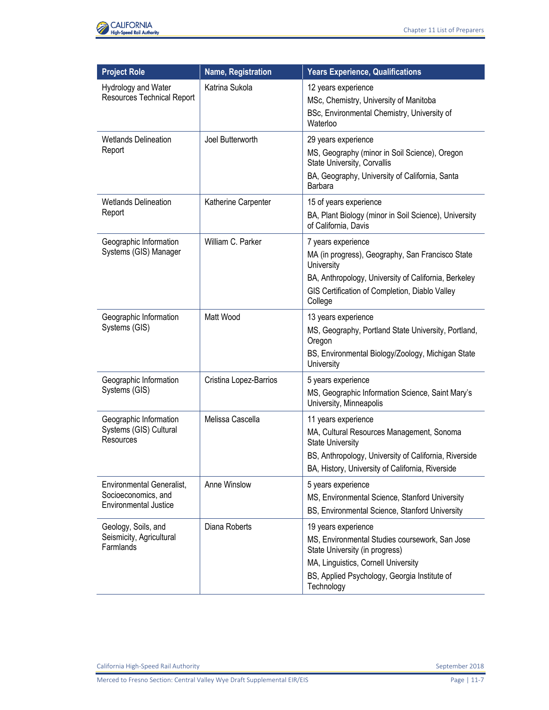

| <b>Project Role</b>                                                              | Name, Registration     | <b>Years Experience, Qualifications</b>                                                                                                                                                                      |
|----------------------------------------------------------------------------------|------------------------|--------------------------------------------------------------------------------------------------------------------------------------------------------------------------------------------------------------|
| Hydrology and Water<br><b>Resources Technical Report</b>                         | Katrina Sukola         | 12 years experience<br>MSc, Chemistry, University of Manitoba<br>BSc, Environmental Chemistry, University of<br>Waterloo                                                                                     |
| <b>Wetlands Delineation</b><br>Report                                            | Joel Butterworth       | 29 years experience<br>MS, Geography (minor in Soil Science), Oregon<br>State University, Corvallis<br>BA, Geography, University of California, Santa<br>Barbara                                             |
| <b>Wetlands Delineation</b><br>Report                                            | Katherine Carpenter    | 15 of years experience<br>BA, Plant Biology (minor in Soil Science), University<br>of California, Davis                                                                                                      |
| Geographic Information<br>Systems (GIS) Manager                                  | William C. Parker      | 7 years experience<br>MA (in progress), Geography, San Francisco State<br>University<br>BA, Anthropology, University of California, Berkeley<br>GIS Certification of Completion, Diablo Valley<br>College    |
| Geographic Information<br>Systems (GIS)                                          | Matt Wood              | 13 years experience<br>MS, Geography, Portland State University, Portland,<br>Oregon<br>BS, Environmental Biology/Zoology, Michigan State<br>University                                                      |
| Geographic Information<br>Systems (GIS)                                          | Cristina Lopez-Barrios | 5 years experience<br>MS, Geographic Information Science, Saint Mary's<br>University, Minneapolis                                                                                                            |
| Geographic Information<br>Systems (GIS) Cultural<br>Resources                    | Melissa Cascella       | 11 years experience<br>MA, Cultural Resources Management, Sonoma<br><b>State University</b><br>BS, Anthropology, University of California, Riverside<br>BA, History, University of California, Riverside     |
| Environmental Generalist,<br>Socioeconomics, and<br><b>Environmental Justice</b> | Anne Winslow           | 5 years experience<br>MS, Environmental Science, Stanford University<br>BS, Environmental Science, Stanford University                                                                                       |
| Geology, Soils, and<br>Seismicity, Agricultural<br>Farmlands                     | Diana Roberts          | 19 years experience<br>MS, Environmental Studies coursework, San Jose<br>State University (in progress)<br>MA, Linguistics, Cornell University<br>BS, Applied Psychology, Georgia Institute of<br>Technology |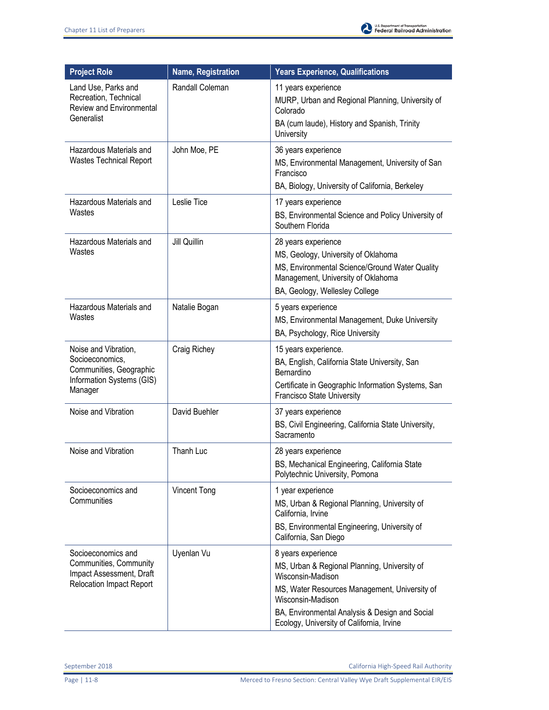

| <b>Project Role</b>                                                                                         | <b>Name, Registration</b> | <b>Years Experience, Qualifications</b>                                                                                                                                                                                                                      |
|-------------------------------------------------------------------------------------------------------------|---------------------------|--------------------------------------------------------------------------------------------------------------------------------------------------------------------------------------------------------------------------------------------------------------|
| Land Use, Parks and<br>Recreation, Technical<br>Review and Environmental<br>Generalist                      | Randall Coleman           | 11 years experience<br>MURP, Urban and Regional Planning, University of<br>Colorado<br>BA (cum laude), History and Spanish, Trinity                                                                                                                          |
|                                                                                                             |                           | University                                                                                                                                                                                                                                                   |
| Hazardous Materials and<br><b>Wastes Technical Report</b>                                                   | John Moe, PE              | 36 years experience<br>MS, Environmental Management, University of San<br>Francisco<br>BA, Biology, University of California, Berkeley                                                                                                                       |
| Hazardous Materials and<br>Wastes                                                                           | Leslie Tice               | 17 years experience<br>BS, Environmental Science and Policy University of<br>Southern Florida                                                                                                                                                                |
| Hazardous Materials and<br>Wastes                                                                           | Jill Quillin              | 28 years experience<br>MS, Geology, University of Oklahoma<br>MS, Environmental Science/Ground Water Quality<br>Management, University of Oklahoma<br>BA, Geology, Wellesley College                                                                         |
| Hazardous Materials and<br>Wastes                                                                           | Natalie Bogan             | 5 years experience<br>MS, Environmental Management, Duke University<br>BA, Psychology, Rice University                                                                                                                                                       |
| Noise and Vibration,<br>Socioeconomics,<br>Communities, Geographic<br>Information Systems (GIS)<br>Manager  | Craig Richey              | 15 years experience.<br>BA, English, California State University, San<br>Bernardino<br>Certificate in Geographic Information Systems, San<br>Francisco State University                                                                                      |
| Noise and Vibration                                                                                         | David Buehler             | 37 years experience<br>BS, Civil Engineering, California State University,<br>Sacramento                                                                                                                                                                     |
| Noise and Vibration                                                                                         | Thanh Luc                 | 28 years experience<br>BS, Mechanical Engineering, California State<br>Polytechnic University, Pomona                                                                                                                                                        |
| Socioeconomics and<br>Communities                                                                           | Vincent Tong              | 1 year experience<br>MS, Urban & Regional Planning, University of<br>California, Irvine<br>BS, Environmental Engineering, University of<br>California, San Diego                                                                                             |
| Socioeconomics and<br>Communities, Community<br>Impact Assessment, Draft<br><b>Relocation Impact Report</b> | Uyenlan Vu                | 8 years experience<br>MS, Urban & Regional Planning, University of<br>Wisconsin-Madison<br>MS, Water Resources Management, University of<br>Wisconsin-Madison<br>BA, Environmental Analysis & Design and Social<br>Ecology, University of California, Irvine |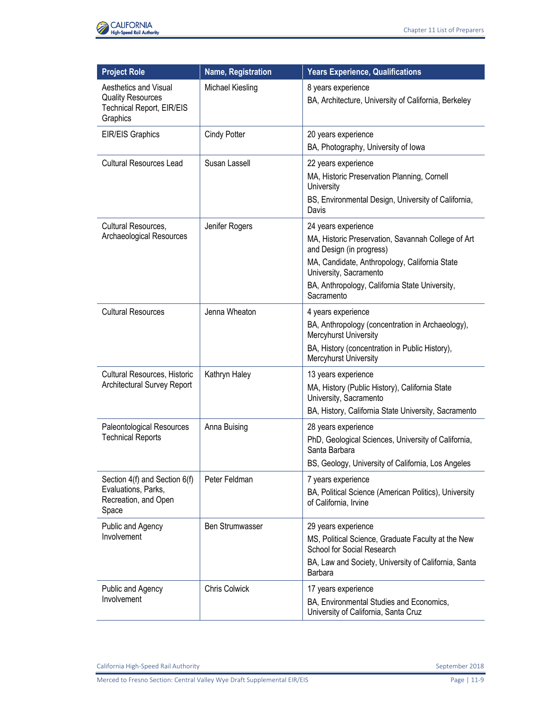

| <b>Project Role</b>                                                                                      | <b>Name, Registration</b> | <b>Years Experience, Qualifications</b>                                                                                                                                                                                                                   |
|----------------------------------------------------------------------------------------------------------|---------------------------|-----------------------------------------------------------------------------------------------------------------------------------------------------------------------------------------------------------------------------------------------------------|
| <b>Aesthetics and Visual</b><br><b>Quality Resources</b><br><b>Technical Report, EIR/EIS</b><br>Graphics | Michael Kiesling          | 8 years experience<br>BA, Architecture, University of California, Berkeley                                                                                                                                                                                |
| <b>EIR/EIS Graphics</b>                                                                                  | Cindy Potter              | 20 years experience<br>BA, Photography, University of Iowa                                                                                                                                                                                                |
| <b>Cultural Resources Lead</b>                                                                           | Susan Lassell             | 22 years experience<br>MA, Historic Preservation Planning, Cornell<br>University<br>BS, Environmental Design, University of California,                                                                                                                   |
| Cultural Resources,<br>Archaeological Resources                                                          | Jenifer Rogers            | Davis<br>24 years experience<br>MA, Historic Preservation, Savannah College of Art<br>and Design (in progress)<br>MA, Candidate, Anthropology, California State<br>University, Sacramento<br>BA, Anthropology, California State University,<br>Sacramento |
| <b>Cultural Resources</b>                                                                                | Jenna Wheaton             | 4 years experience<br>BA, Anthropology (concentration in Archaeology),<br>Mercyhurst University<br>BA, History (concentration in Public History),<br>Mercyhurst University                                                                                |
| Cultural Resources, Historic<br>Architectural Survey Report                                              | Kathryn Haley             | 13 years experience<br>MA, History (Public History), California State<br>University, Sacramento<br>BA, History, California State University, Sacramento                                                                                                   |
| Paleontological Resources<br><b>Technical Reports</b>                                                    | Anna Buising              | 28 years experience<br>PhD, Geological Sciences, University of California,<br>Santa Barbara<br>BS, Geology, University of California, Los Angeles                                                                                                         |
| Section 4(f) and Section 6(f)<br>Evaluations, Parks,<br>Recreation, and Open<br>Space                    | Peter Feldman             | 7 years experience<br>BA, Political Science (American Politics), University<br>of California, Irvine                                                                                                                                                      |
| Public and Agency<br>Involvement                                                                         | <b>Ben Strumwasser</b>    | 29 years experience<br>MS, Political Science, Graduate Faculty at the New<br>School for Social Research<br>BA, Law and Society, University of California, Santa<br>Barbara                                                                                |
| Public and Agency<br>Involvement                                                                         | Chris Colwick             | 17 years experience<br>BA, Environmental Studies and Economics,<br>University of California, Santa Cruz                                                                                                                                                   |

California High-Speed Rail Authority **September 2018** September 2018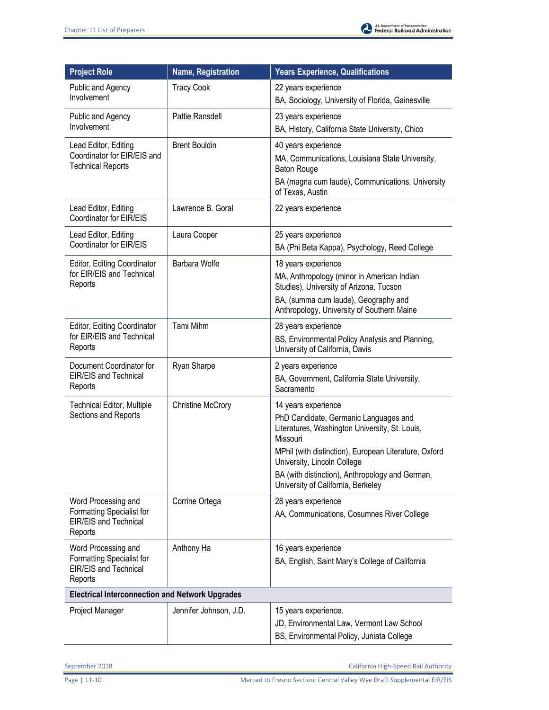| <b>Project Role</b>                                                  | Name, Registration       | <b>Years Experience, Qualifications</b>                                                             |
|----------------------------------------------------------------------|--------------------------|-----------------------------------------------------------------------------------------------------|
| Public and Agency                                                    | <b>Tracy Cook</b>        | 22 years experience                                                                                 |
| Involvement                                                          |                          | BA, Sociology, University of Florida, Gainesville                                                   |
| Public and Agency                                                    | Pattie Ransdell          | 23 years experience                                                                                 |
| Involvement                                                          |                          | BA, History, California State University, Chico                                                     |
| Lead Editor, Editing                                                 | <b>Brent Bouldin</b>     | 40 years experience                                                                                 |
| Coordinator for EIR/EIS and<br><b>Technical Reports</b>              |                          | MA, Communications, Louisiana State University,<br><b>Baton Rouge</b>                               |
|                                                                      |                          | BA (magna cum laude), Communications, University<br>of Texas, Austin                                |
| Lead Editor, Editing<br>Coordinator for EIR/EIS                      | Lawrence B. Goral        | 22 years experience                                                                                 |
| Lead Editor, Editing                                                 | Laura Cooper             | 25 years experience                                                                                 |
| Coordinator for EIR/EIS                                              |                          | BA (Phi Beta Kappa), Psychology, Reed College                                                       |
| Editor, Editing Coordinator                                          | Barbara Wolfe            | 18 years experience                                                                                 |
| for EIR/EIS and Technical<br>Reports                                 |                          | MA, Anthropology (minor in American Indian<br>Studies), University of Arizona, Tucson               |
|                                                                      |                          | BA, (summa cum laude), Geography and<br>Anthropology, University of Southern Maine                  |
| Editor, Editing Coordinator                                          | Tami Mihm                | 28 years experience                                                                                 |
| for EIR/EIS and Technical<br>Reports                                 |                          | BS, Environmental Policy Analysis and Planning,<br>University of California, Davis                  |
| Document Coordinator for                                             | Ryan Sharpe              | 2 years experience                                                                                  |
| EIR/EIS and Technical<br>Reports                                     |                          | BA, Government, California State University,<br>Sacramento                                          |
| <b>Technical Editor, Multiple</b>                                    | <b>Christine McCrory</b> | 14 years experience                                                                                 |
| Sections and Reports                                                 |                          | PhD Candidate, Germanic Languages and<br>Literatures, Washington University, St. Louis,<br>Missouri |
|                                                                      |                          | MPhil (with distinction), European Literature, Oxford<br>University, Lincoln College                |
|                                                                      |                          | BA (with distinction), Anthropology and German,<br>University of California, Berkeley               |
| Word Processing and                                                  | Corrine Ortega           | 28 years experience                                                                                 |
| Formatting Specialist for<br>EIR/EIS and Technical<br>Reports        |                          | AA, Communications, Cosumnes River College                                                          |
| Word Processing and                                                  | Anthony Ha               | 16 years experience                                                                                 |
| Formatting Specialist for<br><b>EIR/EIS and Technical</b><br>Reports |                          | BA, English, Saint Mary's College of California                                                     |
| <b>Electrical Interconnection and Network Upgrades</b>               |                          |                                                                                                     |
| Project Manager                                                      | Jennifer Johnson, J.D.   | 15 years experience.                                                                                |
|                                                                      |                          | JD, Environmental Law, Vermont Law School                                                           |
|                                                                      |                          | BS, Environmental Policy, Juniata College                                                           |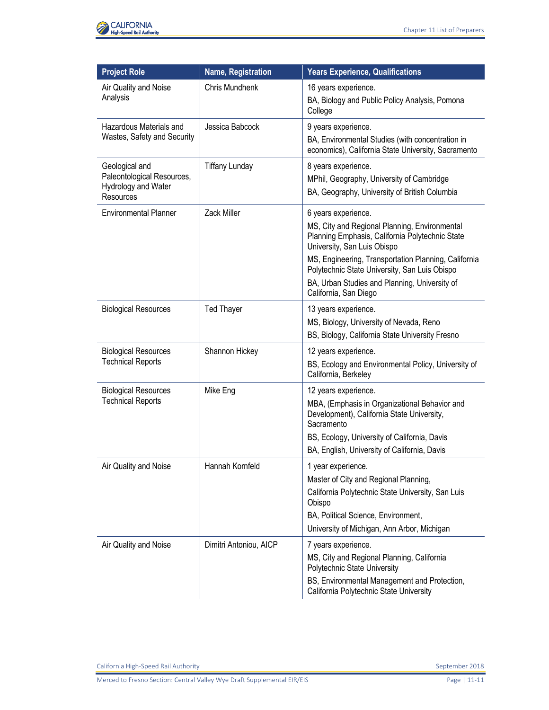

| <b>Project Role</b>                                                              | <b>Name, Registration</b> | <b>Years Experience, Qualifications</b>                                                                                                                                                                                                                                                                                                   |
|----------------------------------------------------------------------------------|---------------------------|-------------------------------------------------------------------------------------------------------------------------------------------------------------------------------------------------------------------------------------------------------------------------------------------------------------------------------------------|
| Air Quality and Noise<br>Analysis                                                | Chris Mundhenk            | 16 years experience.<br>BA, Biology and Public Policy Analysis, Pomona<br>College                                                                                                                                                                                                                                                         |
| Hazardous Materials and<br>Wastes, Safety and Security                           | Jessica Babcock           | 9 years experience.<br>BA, Environmental Studies (with concentration in<br>economics), California State University, Sacramento                                                                                                                                                                                                            |
| Geological and<br>Paleontological Resources,<br>Hydrology and Water<br>Resources | <b>Tiffany Lunday</b>     | 8 years experience.<br>MPhil, Geography, University of Cambridge<br>BA, Geography, University of British Columbia                                                                                                                                                                                                                         |
| <b>Environmental Planner</b>                                                     | Zack Miller               | 6 years experience.<br>MS, City and Regional Planning, Environmental<br>Planning Emphasis, California Polytechnic State<br>University, San Luis Obispo<br>MS, Engineering, Transportation Planning, California<br>Polytechnic State University, San Luis Obispo<br>BA, Urban Studies and Planning, University of<br>California, San Diego |
| <b>Biological Resources</b>                                                      | <b>Ted Thayer</b>         | 13 years experience.<br>MS, Biology, University of Nevada, Reno<br>BS, Biology, California State University Fresno                                                                                                                                                                                                                        |
| <b>Biological Resources</b><br><b>Technical Reports</b>                          | Shannon Hickey            | 12 years experience.<br>BS, Ecology and Environmental Policy, University of<br>California, Berkeley                                                                                                                                                                                                                                       |
| <b>Biological Resources</b><br><b>Technical Reports</b>                          | Mike Eng                  | 12 years experience.<br>MBA, (Emphasis in Organizational Behavior and<br>Development), California State University,<br>Sacramento<br>BS, Ecology, University of California, Davis<br>BA, English, University of California, Davis                                                                                                         |
| Air Quality and Noise                                                            | Hannah Kornfeld           | 1 year experience.<br>Master of City and Regional Planning,<br>California Polytechnic State University, San Luis<br>Obispo<br>BA, Political Science, Environment,<br>University of Michigan, Ann Arbor, Michigan                                                                                                                          |
| Air Quality and Noise                                                            | Dimitri Antoniou, AICP    | 7 years experience.<br>MS, City and Regional Planning, California<br>Polytechnic State University<br>BS, Environmental Management and Protection,<br>California Polytechnic State University                                                                                                                                              |